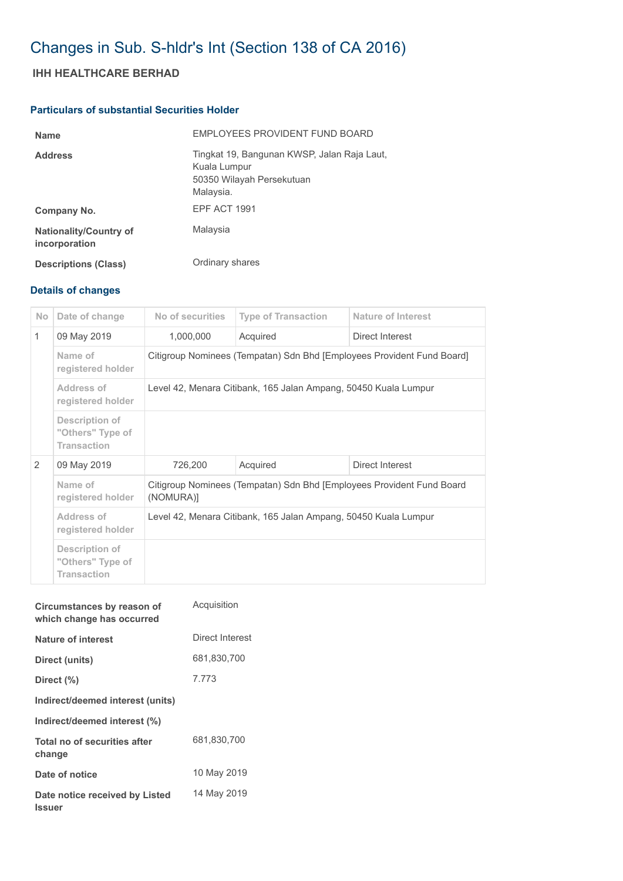# Changes in Sub. S-hldr's Int (Section 138 of CA 2016)

## **IHH HEALTHCARE BERHAD**

### **Particulars of substantial Securities Holder**

| <b>Name</b>                                    | EMPLOYEES PROVIDENT FUND BOARD                                                                        |
|------------------------------------------------|-------------------------------------------------------------------------------------------------------|
| <b>Address</b>                                 | Tingkat 19, Bangunan KWSP, Jalan Raja Laut,<br>Kuala Lumpur<br>50350 Wilayah Persekutuan<br>Malaysia. |
| Company No.                                    | <b>EPF ACT 1991</b>                                                                                   |
| <b>Nationality/Country of</b><br>incorporation | Malaysia                                                                                              |
| <b>Descriptions (Class)</b>                    | Ordinary shares                                                                                       |

## **Details of changes**

| N <sub>o</sub> | Date of change                                           | No of securities                                                                   | <b>Type of Transaction</b> | <b>Nature of Interest</b> |  |  |
|----------------|----------------------------------------------------------|------------------------------------------------------------------------------------|----------------------------|---------------------------|--|--|
| $\mathbf{1}$   | 09 May 2019                                              | 1,000,000                                                                          | Acquired                   | Direct Interest           |  |  |
|                | Name of<br>registered holder                             | Citigroup Nominees (Tempatan) Sdn Bhd [Employees Provident Fund Board]             |                            |                           |  |  |
|                | Address of<br>registered holder                          | Level 42, Menara Citibank, 165 Jalan Ampang, 50450 Kuala Lumpur                    |                            |                           |  |  |
|                | Description of<br>"Others" Type of<br><b>Transaction</b> |                                                                                    |                            |                           |  |  |
| $\mathcal{P}$  | 09 May 2019                                              | 726,200                                                                            | Acquired                   | Direct Interest           |  |  |
|                | Name of<br>registered holder                             | Citigroup Nominees (Tempatan) Sdn Bhd [Employees Provident Fund Board<br>(NOMURA)] |                            |                           |  |  |
|                | Address of<br>registered holder                          | Level 42, Menara Citibank, 165 Jalan Ampang, 50450 Kuala Lumpur                    |                            |                           |  |  |
|                | Description of<br>"Others" Type of<br><b>Transaction</b> |                                                                                    |                            |                           |  |  |

| Circumstances by reason of<br>which change has occurred | Acquisition     |
|---------------------------------------------------------|-----------------|
| Nature of interest                                      | Direct Interest |
| Direct (units)                                          | 681,830,700     |
| Direct (%)                                              | 7.773           |
| Indirect/deemed interest (units)                        |                 |
| Indirect/deemed interest (%)                            |                 |
| Total no of securities after<br>change                  | 681,830,700     |
| Date of notice                                          | 10 May 2019     |
| Date notice received by Listed<br><b>Issuer</b>         | 14 May 2019     |